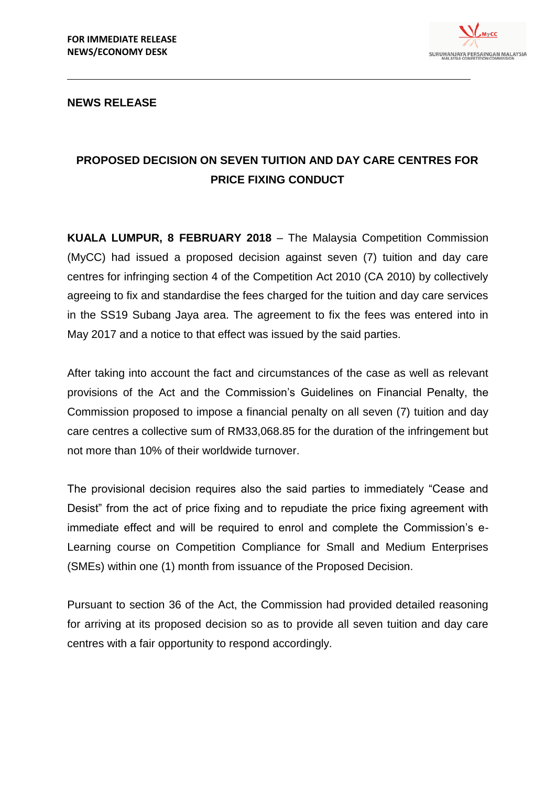

## **NEWS RELEASE**

## **PROPOSED DECISION ON SEVEN TUITION AND DAY CARE CENTRES FOR PRICE FIXING CONDUCT**

**KUALA LUMPUR, 8 FEBRUARY 2018** – The Malaysia Competition Commission (MyCC) had issued a proposed decision against seven (7) tuition and day care centres for infringing section 4 of the Competition Act 2010 (CA 2010) by collectively agreeing to fix and standardise the fees charged for the tuition and day care services in the SS19 Subang Jaya area. The agreement to fix the fees was entered into in May 2017 and a notice to that effect was issued by the said parties.

After taking into account the fact and circumstances of the case as well as relevant provisions of the Act and the Commission's Guidelines on Financial Penalty, the Commission proposed to impose a financial penalty on all seven (7) tuition and day care centres a collective sum of RM33,068.85 for the duration of the infringement but not more than 10% of their worldwide turnover.

The provisional decision requires also the said parties to immediately "Cease and Desist" from the act of price fixing and to repudiate the price fixing agreement with immediate effect and will be required to enrol and complete the Commission's e-Learning course on Competition Compliance for Small and Medium Enterprises (SMEs) within one (1) month from issuance of the Proposed Decision.

Pursuant to section 36 of the Act, the Commission had provided detailed reasoning for arriving at its proposed decision so as to provide all seven tuition and day care centres with a fair opportunity to respond accordingly.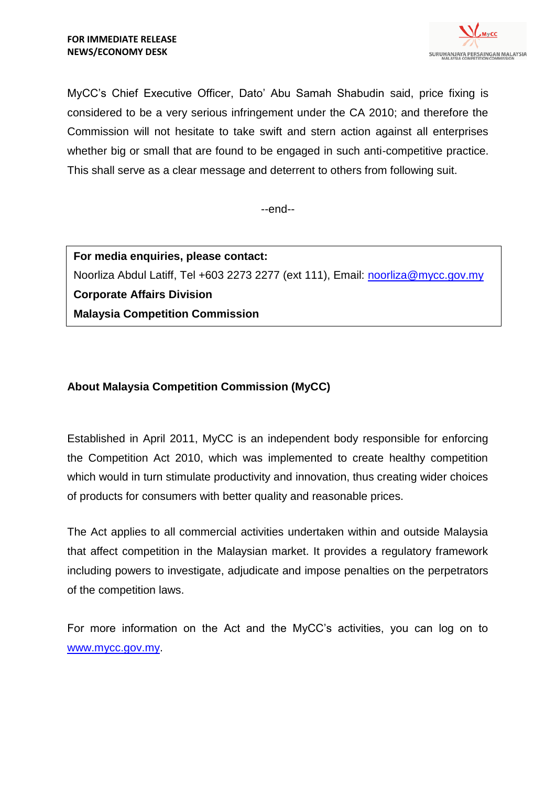

MyCC's Chief Executive Officer, Dato' Abu Samah Shabudin said, price fixing is considered to be a very serious infringement under the CA 2010; and therefore the Commission will not hesitate to take swift and stern action against all enterprises whether big or small that are found to be engaged in such anti-competitive practice. This shall serve as a clear message and deterrent to others from following suit.

--end--

**For media enquiries, please contact:** Noorliza Abdul Latiff, Tel +603 2273 2277 (ext 111), Email: [noorliza@mycc.gov.my](mailto:noorliza@mycc.gov.my) **Corporate Affairs Division Malaysia Competition Commission**

## **About Malaysia Competition Commission (MyCC)**

Established in April 2011, MyCC is an independent body responsible for enforcing the Competition Act 2010, which was implemented to create healthy competition which would in turn stimulate productivity and innovation, thus creating wider choices of products for consumers with better quality and reasonable prices.

The Act applies to all commercial activities undertaken within and outside Malaysia that affect competition in the Malaysian market. It provides a regulatory framework including powers to investigate, adjudicate and impose penalties on the perpetrators of the competition laws.

For more information on the Act and the MyCC's activities, you can log on to [www.mycc.gov.my.](http://www.mycc.gov.my/)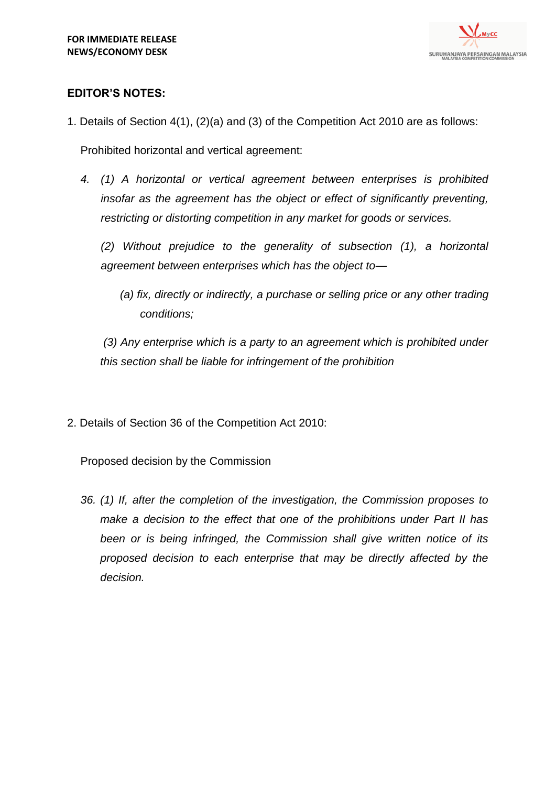

## **EDITOR'S NOTES:**

1. Details of Section 4(1), (2)(a) and (3) of the Competition Act 2010 are as follows:

Prohibited horizontal and vertical agreement:

*4. (1) A horizontal or vertical agreement between enterprises is prohibited insofar as the agreement has the object or effect of significantly preventing, restricting or distorting competition in any market for goods or services.*

*(2) Without prejudice to the generality of subsection (1), a horizontal agreement between enterprises which has the object to—*

*(a) fix, directly or indirectly, a purchase or selling price or any other trading conditions;*

*(3) Any enterprise which is a party to an agreement which is prohibited under this section shall be liable for infringement of the prohibition*

2. Details of Section 36 of the Competition Act 2010:

Proposed decision by the Commission

*36. (1) If, after the completion of the investigation, the Commission proposes to make a decision to the effect that one of the prohibitions under Part II has been or is being infringed, the Commission shall give written notice of its proposed decision to each enterprise that may be directly affected by the decision.*